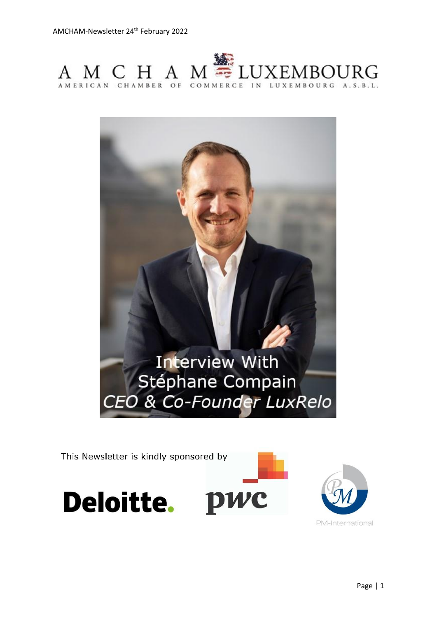



This Newsletter is kindly sponsored by





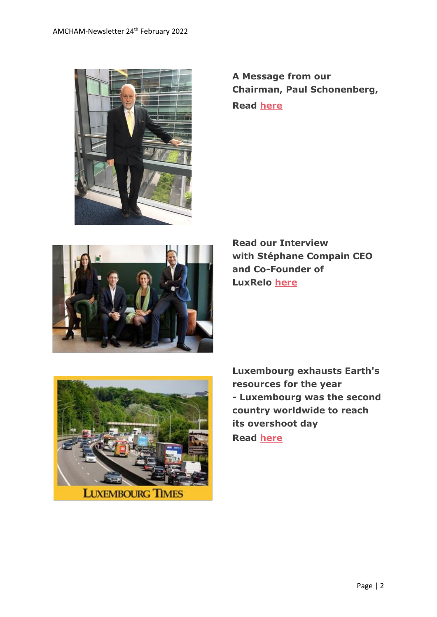

**A Message from our Chairman, Paul Schonenberg, Read [here](https://www.amcham.lu/newsletter/chairmans-remarks-24-february-2022/)**



**Read our Interview with Stéphane Compain CEO and Co-Founder of LuxRelo [here](https://www.amcham.lu/newsletter/interview-with-stephane-compain-luxrelo/)**



**LUXEMBOURG TIMES** 

**Luxembourg exhausts Earth's resources for the year - Luxembourg was the second country worldwide to reach its overshoot day Read [here](https://www.luxtimes.lu/en/luxembourg/luxembourg-exhausts-earth-s-resources-for-the-year-620a4d65de135b92365c9d35)**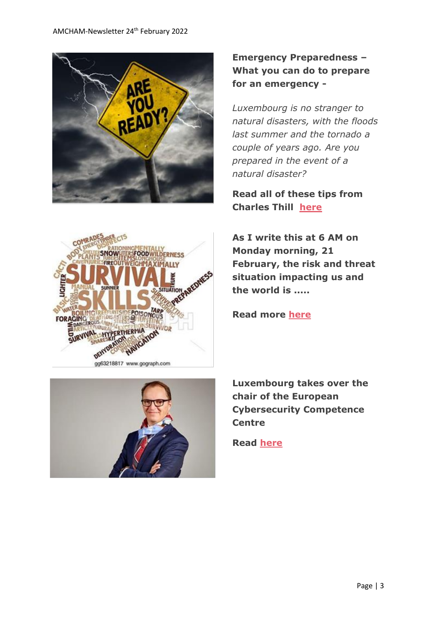



gg63218817 www.gograph.com



**Emergency Preparedness – What you can do to prepare for an emergency -**

*Luxembourg is no stranger to natural disasters, with the floods last summer and the tornado a couple of years ago. Are you prepared in the event of a natural disaster?*

**Read all of these tips from Charles Thill [here](https://www.amcham.lu/newsletter/emergency-preparedness-what-you-can-do-to-prepare-for-an-emergency/)**

**As I write this at 6 AM on Monday morning, 21 February, the risk and threat situation impacting us and the world is .....**

**Read more [here](https://www.amcham.lu/newsletter/whats-threats-do-we-face-and-what-should-companies-and-employees-do/)**

**Luxembourg takes over the chair of the European Cybersecurity Competence Centre**

**Read [here](https://www.amcham.lu/luxembourg-takes-over-the-chair-of-the-european-cybersecurity-competence-centre/)**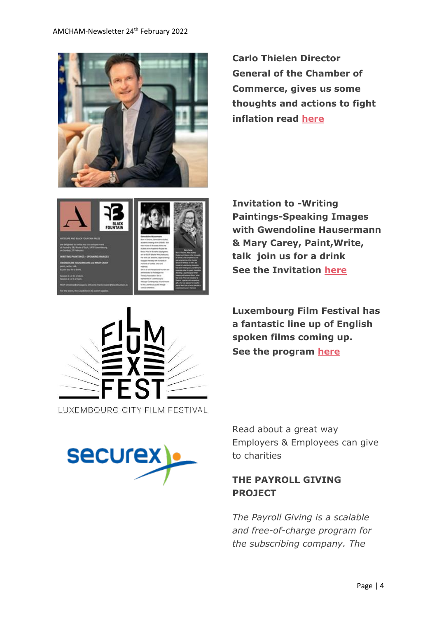

**Carlo Thielen Director General of the Chamber of Commerce, gives us some thoughts and actions to fight inflation read [here](https://www.carlothelenblog.lu/2022/02/17/a-rise-in-prices-for-the-long-haul/)**



**Invitation to -Writing Paintings-Speaking Images with Gwendoline Hausermann & Mary Carey, Paint,Write, talk join us for a drink See the Invitation [here](https://www.amcham.lu/newsletter/18918/)**



**Luxembourg Film Festival has a fantastic line up of English spoken films coming up. See the program [here](https://www.luxfilmfest.lu/en)**



Read about a great way Employers & Employees can give to charities

# **THE PAYROLL GIVING PROJECT**

*The Payroll Giving is a scalable and free-of-charge program for the subscribing company. The*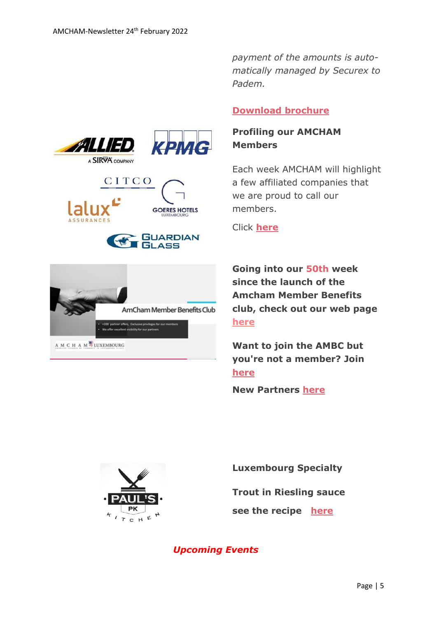



A M C H A M<sup>P</sup>LUXEMBOURG

*payment of the amounts is automatically managed by Securex to Padem.*

#### **[Download brochure](https://www.securex.lu/sites/default/files/2020-03/Brochure%20Padem_EN.pdf)**

## **Profiling our AMCHAM Members**

Each week AMCHAM will highlight a few affiliated companies that we are proud to call our members.

Click **[here](https://www.amcham.lu/newsletter/profiling-amcham-members-24feb2022/)**

**Going into our 50th week since the launch of the Amcham Member Benefits club, check out our web page [here](https://www.amcham.lu/amcham-benefits-club/)**

**Want to join the AMBC but you're not a member? Join [here](https://www.amcham.lu/amcham-benefits-club/ambc-card-for-non-members/)**

**New Partners [here](https://www.amcham.lu/newsletter/new-mbc-partners-as-of-24th-february-2022/)**



**Luxembourg Specialty** 

**Trout in Riesling sauce**

**see the recipe [here](https://www.amcham.lu/newsletter/trout-in-riesling/)**

*Upcoming Events*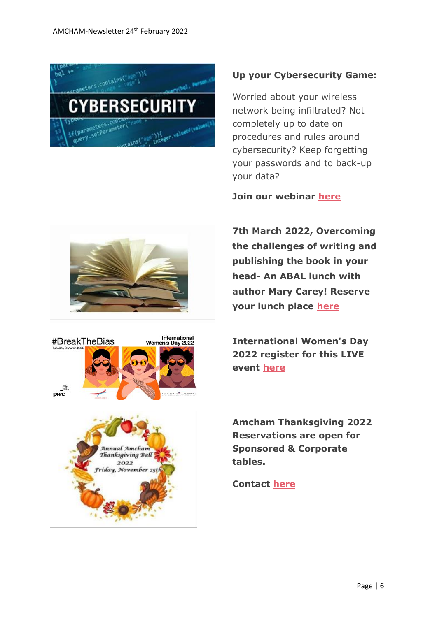

### **Up your Cybersecurity Game:**

Worried about your wireless network being infiltrated? Not completely up to date on procedures and rules around cybersecurity? Keep forgetting your passwords and to back-up your data?

**Join our webinar [here](https://www.amcham.lu/events/up-your-cybersecurity-game/)**

**7th March 2022, Overcoming the challenges of writing and publishing the book in your head- An ABAL lunch with author Mary Carey! Reserve your lunch place [here](https://www.amcham.lu/events/overcoming-the-challenges-of-writing-and-publishing-the-book-in-your-head/)**

**International Women's Day 2022 register for this LIVE event [here](https://www.amcham.lu/events/international-womens-day-2022/)**



2022 iday, November 25 **Amcham Thanksgiving 2022 Reservations are open for Sponsored & Corporate tables.** 

#### **Contact [here](mailto:daniel@amcham.lu)**